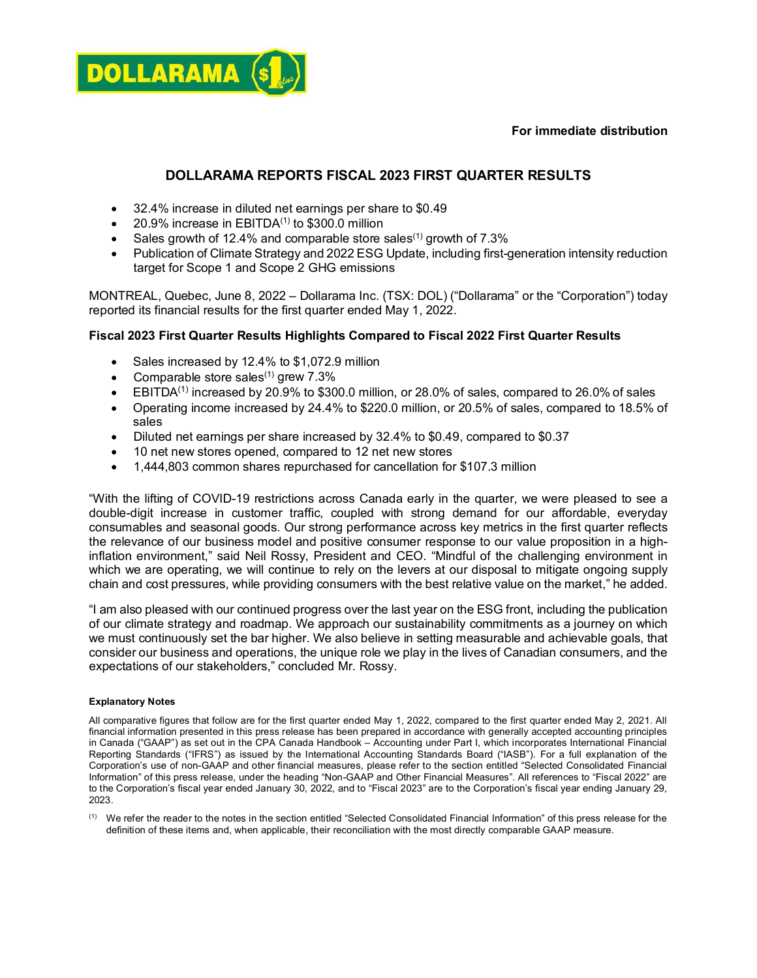



### **DOLLARAMA REPORTS FISCAL 2023 FIRST QUARTER RESULTS**

- 32.4% increase in diluted net earnings per share to \$0.49
- 20.9% increase in  $EBITDA<sup>(1)</sup>$  to \$300.0 million
- Sales growth of 12.4% and comparable store sales<sup>(1)</sup> growth of  $7.3\%$
- Publication of Climate Strategy and 2022 ESG Update, including first-generation intensity reduction target for Scope 1 and Scope 2 GHG emissions

MONTREAL, Quebec, June 8, 2022 – Dollarama Inc. (TSX: DOL) ("Dollarama" or the "Corporation") today reported its financial results for the first quarter ended May 1, 2022.

### **Fiscal 2023 First Quarter Results Highlights Compared to Fiscal 2022 First Quarter Results**

- Sales increased by 12.4% to \$1,072.9 million
- Comparable store sales $(1)$  grew 7.3%
- EBITDA<sup>(1)</sup> increased by 20.9% to \$300.0 million, or 28.0% of sales, compared to 26.0% of sales
- Operating income increased by 24.4% to \$220.0 million, or 20.5% of sales, compared to 18.5% of sales
- Diluted net earnings per share increased by 32.4% to \$0.49, compared to \$0.37
- 10 net new stores opened, compared to 12 net new stores
- 1,444,803 common shares repurchased for cancellation for \$107.3 million

"With the lifting of COVID-19 restrictions across Canada early in the quarter, we were pleased to see a double-digit increase in customer traffic, coupled with strong demand for our affordable, everyday consumables and seasonal goods. Our strong performance across key metrics in the first quarter reflects the relevance of our business model and positive consumer response to our value proposition in a highinflation environment," said Neil Rossy, President and CEO. "Mindful of the challenging environment in which we are operating, we will continue to rely on the levers at our disposal to mitigate ongoing supply chain and cost pressures, while providing consumers with the best relative value on the market," he added.

"I am also pleased with our continued progress over the last year on the ESG front, including the publication of our climate strategy and roadmap. We approach our sustainability commitments as a journey on which we must continuously set the bar higher. We also believe in setting measurable and achievable goals, that consider our business and operations, the unique role we play in the lives of Canadian consumers, and the expectations of our stakeholders," concluded Mr. Rossy.

#### **Explanatory Notes**

All comparative figures that follow are for the first quarter ended May 1, 2022, compared to the first quarter ended May 2, 2021. All financial information presented in this press release has been prepared in accordance with generally accepted accounting principles in Canada ("GAAP") as set out in the CPA Canada Handbook – Accounting under Part I, which incorporates International Financial Reporting Standards ("IFRS") as issued by the International Accounting Standards Board ("IASB"). For a full explanation of the Corporation's use of non-GAAP and other financial measures, please refer to the section entitled "Selected Consolidated Financial Information" of this press release, under the heading "Non-GAAP and Other Financial Measures". All references to "Fiscal 2022" are to the Corporation's fiscal year ended January 30, 2022, and to "Fiscal 2023" are to the Corporation's fiscal year ending January 29, 2023.

 $<sup>(1)</sup>$  We refer the reader to the notes in the section entitled "Selected Consolidated Financial Information" of this press release for the</sup> definition of these items and, when applicable, their reconciliation with the most directly comparable GAAP measure.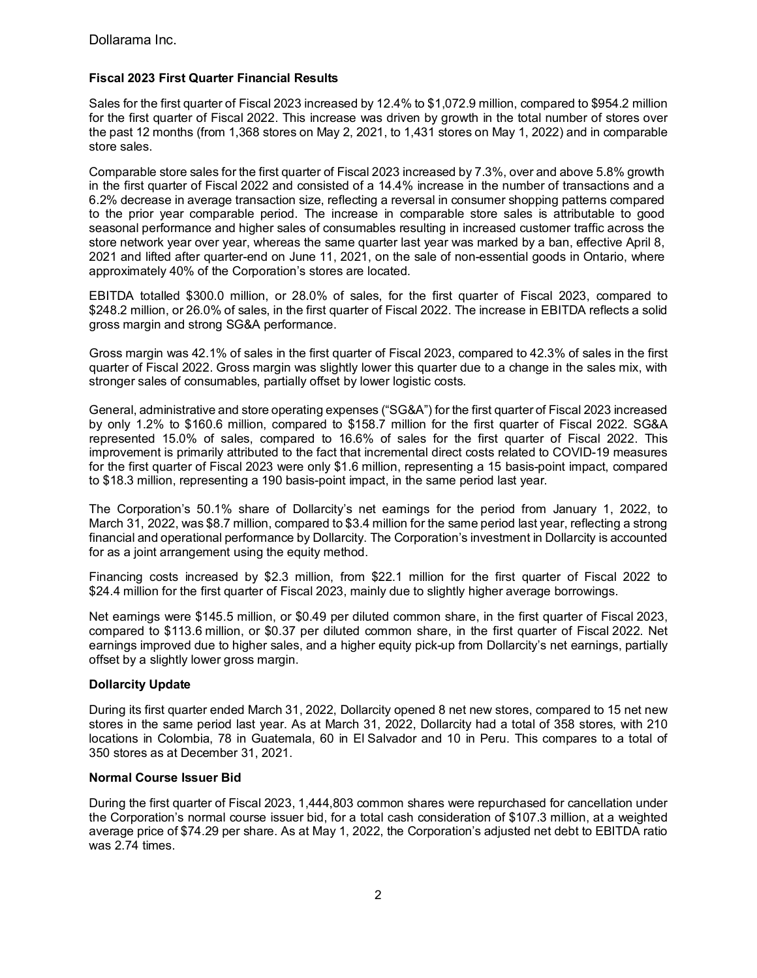### **Fiscal 2023 First Quarter Financial Results**

Sales for the first quarter of Fiscal 2023 increased by 12.4% to \$1,072.9 million, compared to \$954.2 million for the first quarter of Fiscal 2022. This increase was driven by growth in the total number of stores over the past 12 months (from 1,368 stores on May 2, 2021, to 1,431 stores on May 1, 2022) and in comparable store sales.

Comparable store sales for the first quarter of Fiscal 2023 increased by 7.3%, over and above 5.8% growth in the first quarter of Fiscal 2022 and consisted of a 14.4% increase in the number of transactions and a 6.2% decrease in average transaction size, reflecting a reversal in consumer shopping patterns compared to the prior year comparable period. The increase in comparable store sales is attributable to good seasonal performance and higher sales of consumables resulting in increased customer traffic across the store network year over year, whereas the same quarter last year was marked by a ban, effective April 8, 2021 and lifted after quarter-end on June 11, 2021, on the sale of non-essential goods in Ontario, where approximately 40% of the Corporation's stores are located.

EBITDA totalled \$300.0 million, or 28.0% of sales, for the first quarter of Fiscal 2023, compared to \$248.2 million, or 26.0% of sales, in the first quarter of Fiscal 2022. The increase in EBITDA reflects a solid gross margin and strong SG&A performance.

Gross margin was 42.1% of sales in the first quarter of Fiscal 2023, compared to 42.3% of sales in the first quarter of Fiscal 2022. Gross margin was slightly lower this quarter due to a change in the sales mix, with stronger sales of consumables, partially offset by lower logistic costs.

General, administrative and store operating expenses ("SG&A") for the first quarter of Fiscal 2023 increased by only 1.2% to \$160.6 million, compared to \$158.7 million for the first quarter of Fiscal 2022. SG&A represented 15.0% of sales, compared to 16.6% of sales for the first quarter of Fiscal 2022. This improvement is primarily attributed to the fact that incremental direct costs related to COVID-19 measures for the first quarter of Fiscal 2023 were only \$1.6 million, representing a 15 basis-point impact, compared to \$18.3 million, representing a 190 basis-point impact, in the same period last year.

The Corporation's 50.1% share of Dollarcity's net earnings for the period from January 1, 2022, to March 31, 2022, was \$8.7 million, compared to \$3.4 million for the same period last year, reflecting a strong financial and operational performance by Dollarcity. The Corporation's investment in Dollarcity is accounted for as a joint arrangement using the equity method.

Financing costs increased by \$2.3 million, from \$22.1 million for the first quarter of Fiscal 2022 to \$24.4 million for the first quarter of Fiscal 2023, mainly due to slightly higher average borrowings.

Net earnings were \$145.5 million, or \$0.49 per diluted common share, in the first quarter of Fiscal 2023, compared to \$113.6 million, or \$0.37 per diluted common share, in the first quarter of Fiscal 2022. Net earnings improved due to higher sales, and a higher equity pick-up from Dollarcity's net earnings, partially offset by a slightly lower gross margin.

### **Dollarcity Update**

During its first quarter ended March 31, 2022, Dollarcity opened 8 net new stores, compared to 15 net new stores in the same period last year. As at March 31, 2022, Dollarcity had a total of 358 stores, with 210 locations in Colombia, 78 in Guatemala, 60 in El Salvador and 10 in Peru. This compares to a total of 350 stores as at December 31, 2021.

### **Normal Course Issuer Bid**

During the first quarter of Fiscal 2023, 1,444,803 common shares were repurchased for cancellation under the Corporation's normal course issuer bid, for a total cash consideration of \$107.3 million, at a weighted average price of \$74.29 per share. As at May 1, 2022, the Corporation's adjusted net debt to EBITDA ratio was 2.74 times.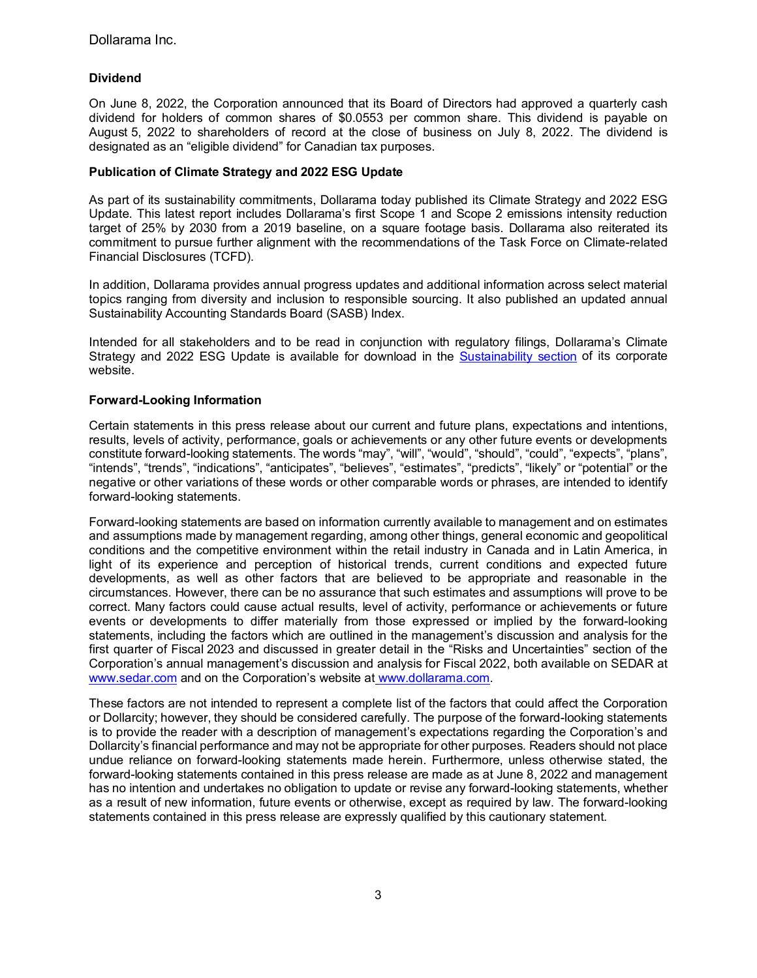### **Dividend**

On June 8, 2022, the Corporation announced that its Board of Directors had approved a quarterly cash dividend for holders of common shares of \$0.0553 per common share. This dividend is payable on August 5, 2022 to shareholders of record at the close of business on July 8, 2022. The dividend is designated as an "eligible dividend" for Canadian tax purposes.

### **Publication of Climate Strategy and 2022 ESG Update**

As part of its sustainability commitments, Dollarama today published its Climate Strategy and 2022 ESG Update. This latest report includes Dollarama's first Scope 1 and Scope 2 emissions intensity reduction target of 25% by 2030 from a 2019 baseline, on a square footage basis. Dollarama also reiterated its commitment to pursue further alignment with the recommendations of the Task Force on Climate-related Financial Disclosures (TCFD).

In addition, Dollarama provides annual progress updates and additional information across select material topics ranging from diversity and inclusion to responsible sourcing. It also published an updated annual Sustainability Accounting Standards Board (SASB) Index.

Intended for all stakeholders and to be read in conjunction with regulatory filings, Dollarama's Climate Strategy and 2022 ESG Update is available for download in the [Sustainability section](https://www.dollarama.com/en-CA/corp/sustainability) of its corporate website.

### **Forward-Looking Information**

Certain statements in this press release about our current and future plans, expectations and intentions, results, levels of activity, performance, goals or achievements or any other future events or developments constitute forward-looking statements. The words "may", "will", "would", "should", "could", "expects", "plans", "intends", "trends", "indications", "anticipates", "believes", "estimates", "predicts", "likely" or "potential" or the negative or other variations of these words or other comparable words or phrases, are intended to identify forward-looking statements.

Forward-looking statements are based on information currently available to management and on estimates and assumptions made by management regarding, among other things, general economic and geopolitical conditions and the competitive environment within the retail industry in Canada and in Latin America, in light of its experience and perception of historical trends, current conditions and expected future developments, as well as other factors that are believed to be appropriate and reasonable in the circumstances. However, there can be no assurance that such estimates and assumptions will prove to be correct. Many factors could cause actual results, level of activity, performance or achievements or future events or developments to differ materially from those expressed or implied by the forward-looking statements, including the factors which are outlined in the management's discussion and analysis for the first quarter of Fiscal 2023 and discussed in greater detail in the "Risks and Uncertainties" section of the Corporation's annual management's discussion and analysis for Fiscal 2022, both available on SEDAR at [www.sedar.com](http://www.sedar.com/DisplayCompanyDocuments.do?lang=EN&issuerNo=00028876) and on the Corporation's website at www.dollarama.com.

These factors are not intended to represent a complete list of the factors that could affect the Corporation or Dollarcity; however, they should be considered carefully. The purpose of the forward-looking statements is to provide the reader with a description of management's expectations regarding the Corporation's and Dollarcity's financial performance and may not be appropriate for other purposes. Readers should not place undue reliance on forward-looking statements made herein. Furthermore, unless otherwise stated, the forward-looking statements contained in this press release are made as at June 8, 2022 and management has no intention and undertakes no obligation to update or revise any forward-looking statements, whether as a result of new information, future events or otherwise, except as required by law. The forward-looking statements contained in this press release are expressly qualified by this cautionary statement.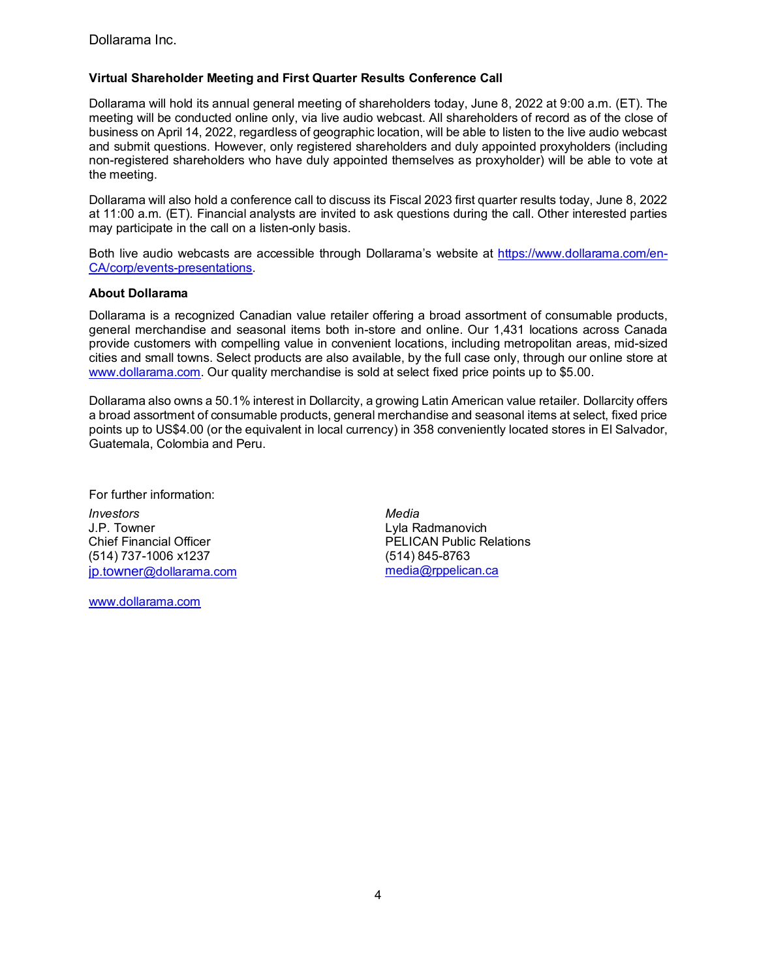Dollarama Inc.

### **Virtual Shareholder Meeting and First Quarter Results Conference Call**

Dollarama will hold its annual general meeting of shareholders today, June 8, 2022 at 9:00 a.m. (ET). The meeting will be conducted online only, via live audio webcast. All shareholders of record as of the close of business on April 14, 2022, regardless of geographic location, will be able to listen to the live audio webcast and submit questions. However, only registered shareholders and duly appointed proxyholders (including non-registered shareholders who have duly appointed themselves as proxyholder) will be able to vote at the meeting.

Dollarama will also hold a conference call to discuss its Fiscal 2023 first quarter results today, June 8, 2022 at 11:00 a.m. (ET). Financial analysts are invited to ask questions during the call. Other interested parties may participate in the call on a listen-only basis.

Both live audio webcasts are accessible through Dollarama's website at [https://www.dollarama.com/en-](https://www.dollarama.com/en-CA/corp/events-presentations)[CA/corp/events-presentations.](https://www.dollarama.com/en-CA/corp/events-presentations)

### **About Dollarama**

Dollarama is a recognized Canadian value retailer offering a broad assortment of consumable products, general merchandise and seasonal items both in-store and online. Our 1,431 locations across Canada provide customers with compelling value in convenient locations, including metropolitan areas, mid-sized cities and small towns. Select products are also available, by the full case only, through our online store at [www.dollarama.com.](http://www.dollarama.com/) Our quality merchandise is sold at select fixed price points up to \$5.00.

Dollarama also owns a 50.1% interest in Dollarcity, a growing Latin American value retailer. Dollarcity offers a broad assortment of consumable products, general merchandise and seasonal items at select, fixed price points up to US\$4.00 (or the equivalent in local currency) in 358 conveniently located stores in El Salvador, Guatemala, Colombia and Peru.

For further information: *Investors Media* J.P. Towner Chief Financial Officer (514) 737-1006 x1237 [jp.towner@dollarama.com](mailto:jp.towner@dollarama.com)

[www.dollarama.com](http://www.dollarama.com/)

Lyla Radmanovich PELICAN Public Relations (514) 845-8763 [media@rppelican.ca](mailto:media@rppelican.ca)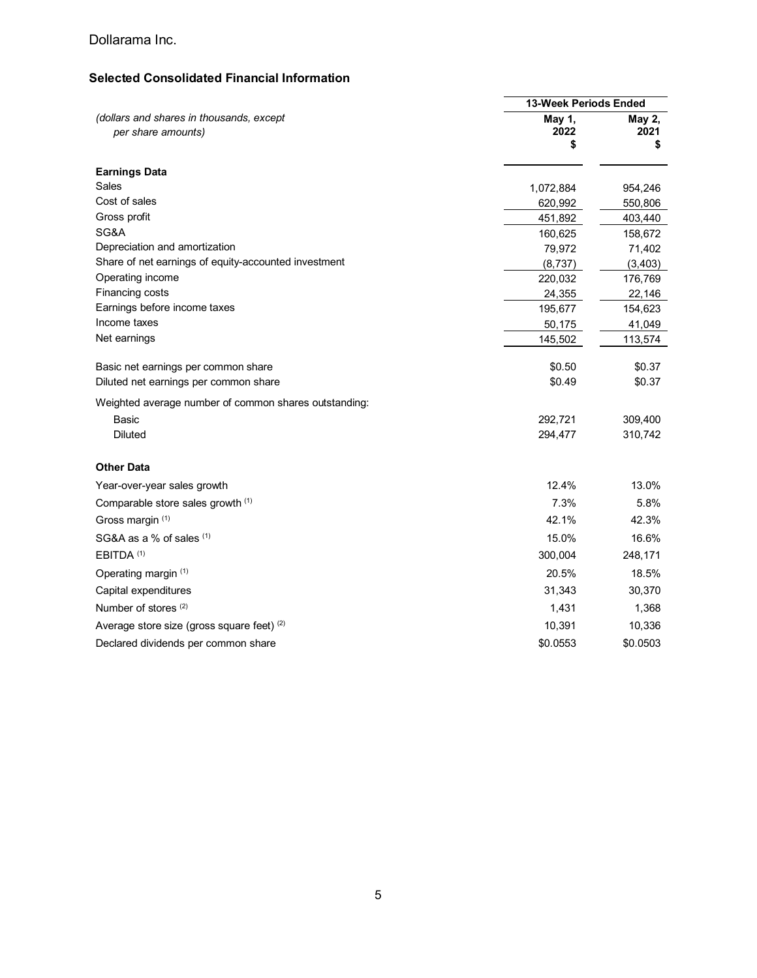## Dollarama Inc.

## **Selected Consolidated Financial Information**

|                                                                |                      | <b>13-Week Periods Ended</b> |  |
|----------------------------------------------------------------|----------------------|------------------------------|--|
| (dollars and shares in thousands, except<br>per share amounts) | May 1,<br>2022<br>\$ | May 2,<br>2021<br>\$         |  |
| <b>Earnings Data</b>                                           |                      |                              |  |
| Sales                                                          | 1,072,884            | 954,246                      |  |
| Cost of sales                                                  | 620,992              | 550,806                      |  |
| Gross profit                                                   | 451,892              | 403,440                      |  |
| SG&A                                                           | 160,625              | 158,672                      |  |
| Depreciation and amortization                                  | 79,972               | 71,402                       |  |
| Share of net earnings of equity-accounted investment           | (8,737)              | (3, 403)                     |  |
| Operating income                                               | 220,032              | 176,769                      |  |
| Financing costs                                                | 24,355               | 22,146                       |  |
| Earnings before income taxes                                   | 195,677              | 154,623                      |  |
| Income taxes                                                   | 50,175               | 41,049                       |  |
| Net earnings                                                   | 145,502              | 113,574                      |  |
| Basic net earnings per common share                            | \$0.50               | \$0.37                       |  |
| Diluted net earnings per common share                          | \$0.49               | \$0.37                       |  |
| Weighted average number of common shares outstanding:          |                      |                              |  |
| Basic                                                          | 292,721              | 309,400                      |  |
| <b>Diluted</b>                                                 | 294,477              | 310,742                      |  |
| <b>Other Data</b>                                              |                      |                              |  |
| Year-over-year sales growth                                    | 12.4%                | 13.0%                        |  |
| Comparable store sales growth (1)                              | 7.3%                 | 5.8%                         |  |
| Gross margin (1)                                               | 42.1%                | 42.3%                        |  |
| SG&A as a % of sales (1)                                       | 15.0%                | 16.6%                        |  |
| EBITDA <sup>(1)</sup>                                          | 300,004              | 248,171                      |  |
| Operating margin (1)                                           | 20.5%                | 18.5%                        |  |
| Capital expenditures                                           | 31,343               | 30,370                       |  |
| Number of stores <sup>(2)</sup>                                | 1,431                | 1,368                        |  |
| Average store size (gross square feet) (2)                     | 10,391               | 10,336                       |  |
| Declared dividends per common share                            | \$0.0553             | \$0.0503                     |  |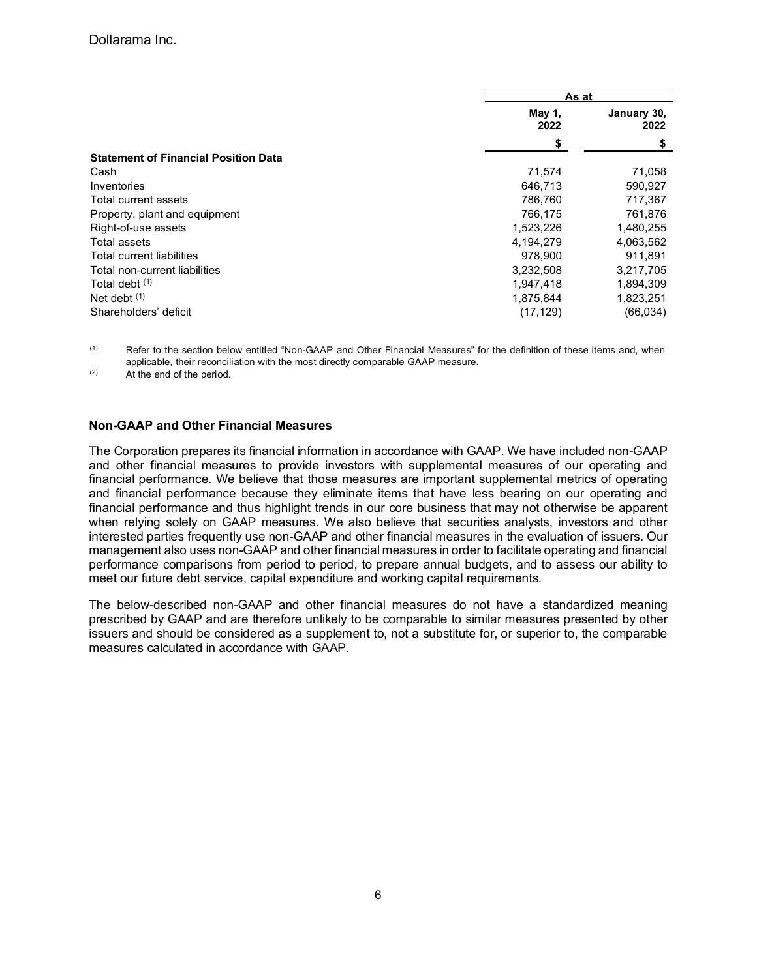|                                             |                | As at               |  |
|---------------------------------------------|----------------|---------------------|--|
|                                             | May 1,<br>2022 | January 30,<br>2022 |  |
|                                             | \$             |                     |  |
| <b>Statement of Financial Position Data</b> |                |                     |  |
| Cash                                        | 71,574         | 71,058              |  |
| Inventories                                 | 646,713        | 590,927             |  |
| Total current assets                        | 786.760        | 717,367             |  |
| Property, plant and equipment               | 766,175        | 761,876             |  |
| Right-of-use assets                         | 1,523,226      | 1,480,255           |  |
| Total assets                                | 4,194,279      | 4,063,562           |  |
| Total current liabilities                   | 978.900        | 911.891             |  |
| Total non-current liabilities               | 3,232,508      | 3,217,705           |  |
| Total debt (1)                              | 1.947.418      | 1,894,309           |  |
| Net debt $(1)$                              | 1,875,844      | 1,823,251           |  |
| Shareholders' deficit                       | (17, 129)      | (66, 034)           |  |

 $(1)$  Refer to the section below entitled "Non-GAAP and Other Financial Measures" for the definition of these items and, when applicable, their reconciliation with the most directly comparable GAAP measure.

(2) At the end of the period.

### **Non-GAAP and Other Financial Measures**

The Corporation prepares its financial information in accordance with GAAP. We have included non-GAAP and other financial measures to provide investors with supplemental measures of our operating and financial performance. We believe that those measures are important supplemental metrics of operating and financial performance because they eliminate items that have less bearing on our operating and financial performance and thus highlight trends in our core business that may not otherwise be apparent when relying solely on GAAP measures. We also believe that securities analysts, investors and other interested parties frequently use non-GAAP and other financial measures in the evaluation of issuers. Our management also uses non-GAAP and other financial measures in order to facilitate operating and financial performance comparisons from period to period, to prepare annual budgets, and to assess our ability to meet our future debt service, capital expenditure and working capital requirements.

The below-described non-GAAP and other financial measures do not have a standardized meaning prescribed by GAAP and are therefore unlikely to be comparable to similar measures presented by other issuers and should be considered as a supplement to, not a substitute for, or superior to, the comparable measures calculated in accordance with GAAP.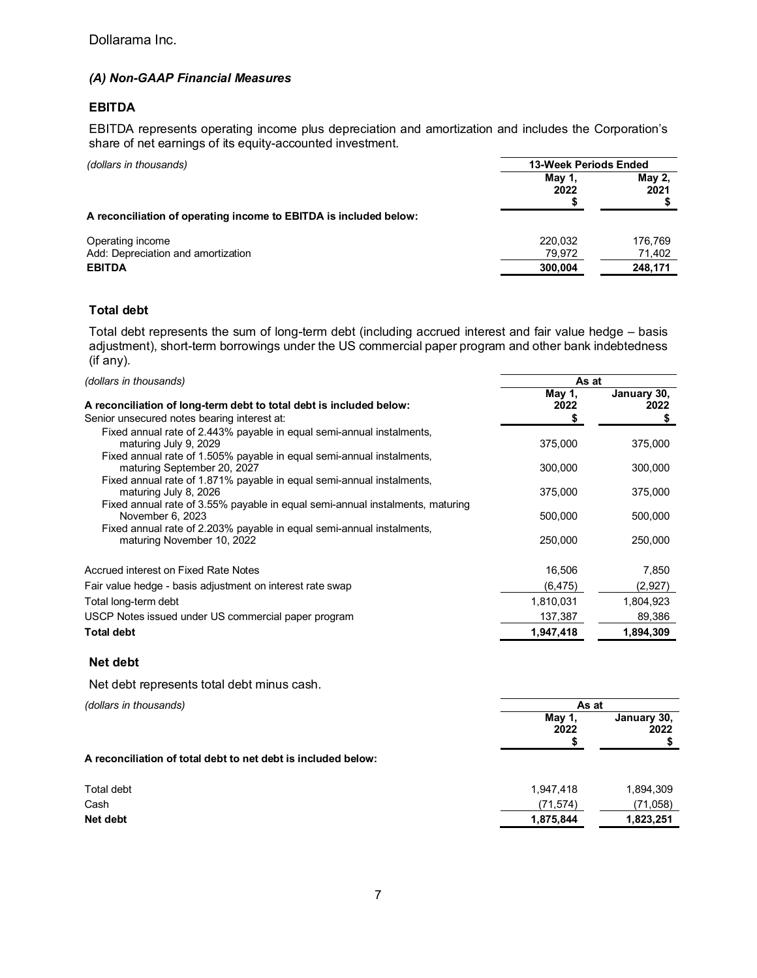### *(A) Non-GAAP Financial Measures*

### **EBITDA**

EBITDA represents operating income plus depreciation and amortization and includes the Corporation's share of net earnings of its equity-accounted investment.

| (dollars in thousands)                                            | 13-Week Periods Ended |                       |
|-------------------------------------------------------------------|-----------------------|-----------------------|
|                                                                   | May 1.<br>2022        | <b>May 2,</b><br>2021 |
| A reconciliation of operating income to EBITDA is included below: |                       |                       |
| Operating income                                                  | 220.032               | 176.769               |
| Add: Depreciation and amortization                                | 79,972                | 71,402                |
| <b>EBITDA</b>                                                     | 300,004               | 248,171               |

### **Total debt**

Total debt represents the sum of long-term debt (including accrued interest and fair value hedge – basis adjustment), short-term borrowings under the US commercial paper program and other bank indebtedness (if any).

| (dollars in thousands)                                                                                                                                                  | As at          |                     |
|-------------------------------------------------------------------------------------------------------------------------------------------------------------------------|----------------|---------------------|
| A reconciliation of long-term debt to total debt is included below:<br>Senior unsecured notes bearing interest at:                                                      | May 1,<br>2022 | January 30,<br>2022 |
| Fixed annual rate of 2.443% payable in equal semi-annual instalments,<br>maturing July 9, 2029<br>Fixed annual rate of 1.505% payable in equal semi-annual instalments, | 375,000        | 375,000             |
| maturing September 20, 2027                                                                                                                                             | 300,000        | 300,000             |
| Fixed annual rate of 1.871% payable in equal semi-annual instalments,<br>maturing July 8, 2026                                                                          | 375,000        | 375,000             |
| Fixed annual rate of 3.55% payable in equal semi-annual instalments, maturing<br>November 6, 2023                                                                       | 500,000        | 500,000             |
| Fixed annual rate of 2.203% payable in equal semi-annual instalments,<br>maturing November 10, 2022                                                                     | 250,000        | 250,000             |
| Accrued interest on Fixed Rate Notes                                                                                                                                    | 16,506         | 7,850               |
| Fair value hedge - basis adjustment on interest rate swap                                                                                                               | (6, 475)       | (2,927)             |
| Total long-term debt                                                                                                                                                    | 1,810,031      | 1,804,923           |
| USCP Notes issued under US commercial paper program                                                                                                                     | 137,387        | 89,386              |
| <b>Total debt</b>                                                                                                                                                       | 1,947,418      | 1,894,309           |
|                                                                                                                                                                         |                |                     |

### **Net debt**

Net debt represents total debt minus cash.

| (dollars in thousands)                                        | As at<br>May 1,<br>2022 |                     |
|---------------------------------------------------------------|-------------------------|---------------------|
|                                                               |                         | January 30,<br>2022 |
| A reconciliation of total debt to net debt is included below: |                         |                     |
| Total debt                                                    | 1,947,418               | 1,894,309           |
| Cash                                                          | (71, 574)               | (71,058)            |
| Net debt                                                      | 1,875,844               | 1,823,251           |